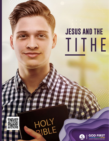# **JESUS AND THE** TITHE



HOLY *Jesus and the Tithe*1

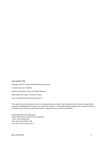#### **Jesus and the Tithe**

Copyright ©2019 by Stewardship Ministries Department

Created by Marcos F. Bomfim

Edited by Johnetta B. Flomo and Sandra Blackmer

Page Design and Layout, Johnetta B. Flomo

Cover, Synesthezia Emotional Marketing LLC

This material may be translated, printed, or photocopied by any Seventh-day Adventist entity without securing further permission. Republished documents must include the credit line: "Stewardship Ministries Department, General Conference of Seventh-day Adventists, used by permission." Selling this work for profit is prohibited.

Stewardship Ministries Department General Conference of Seventh-day Adventists 12501 Old Columbia Pike Silver Spring, MD 20904, USA www.adventiststewardship.com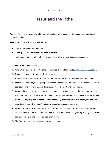## **Jesus and the Tithe**

**Purpose**: To develop values related to conflict resolution, the use of the tithe, and the proportional system of giving.

#### **Summary of the activities (for facilitators)**:

- Divide the audience into groups.
- Each group will discuss their assigned questions.
- Call on one representative of each group to share the group's discussed conclusions.

#### **GENERAL INSTRUCTIONS:**

- 1. Watch the video with all participants. (The video is available here: https://youtu.be/fFirQp1T6lc).
- 2. Divide participants into groups of 5-0 persons.
- 3. Assign one or more questions to each group (each group should have a different question).
- **4. Leader and secretary**: Each group will choose a **leader**, who will conduct the discussion, and a **secretary**, who will write the conclusions, and make a report when called upon.
- **5. Group opinion**: In case of open questions (no right or wrong answers), the group should discuss which opinion(s) would better express the thought of the entire Group (not only that of the leader).
- **6. Duration**: The group should spend no more than five (5) minutes on each question, and secretaries must take no more than one (1) minute when asked to answer publicly.
- **7. Growing together**: After the appointed time for the discussion is over, the facilitator will call all secretaries to the front, and ask them to read the conclusions given by their groups. Each secretary will have one minute to read each answer.
- 8. The facilitator may make comments after each response.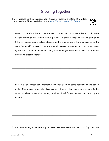# **Growing Together**

Before discussing the questions, all participants must have watched the video, "Jesus and the Tithe," available here: (<https://youtu.be/GhkUQyQanCo>)



1. Robert, a faithful Adventist entrepreneur, values and promotes Adventist Education. Besides having all his children studying at the Adventist School, he is using part of his tithe to support poor theology students and is encouraging other members to do the same. "After all," he says, "those students will become pastors and will later be supported by the same tithe!" As a church leader, what would you do and say? (Does your answer have any biblical support?)

\_\_\_\_\_\_\_\_\_\_\_\_\_\_\_\_\_\_\_\_\_\_\_\_\_\_\_\_\_\_\_\_\_\_\_\_\_\_\_\_\_\_\_\_\_\_\_\_\_\_\_\_\_\_\_\_\_\_\_\_\_\_\_\_\_\_\_\_\_\_\_\_\_\_\_\_\_\_\_\_\_\_\_\_\_\_\_\_\_\_\_\_\_\_

\_\_\_\_\_\_\_\_\_\_\_\_\_\_\_\_\_\_\_\_\_\_\_\_\_\_\_\_\_\_\_\_\_\_\_\_\_\_\_\_\_\_\_\_\_\_\_\_\_\_\_\_\_\_\_\_\_\_\_\_\_\_\_\_\_\_\_\_\_\_\_\_\_\_\_\_\_\_\_\_\_\_\_\_\_\_\_\_\_\_\_\_\_\_

\_\_\_\_\_\_\_\_\_\_\_\_\_\_\_\_\_\_\_\_\_\_\_\_\_\_\_\_\_\_\_\_\_\_\_\_\_\_\_\_\_\_\_\_\_\_\_\_\_\_\_\_\_\_\_\_\_\_\_\_\_\_\_\_\_\_\_\_\_\_\_\_\_\_\_\_\_\_\_\_\_\_\_\_\_\_\_\_\_\_\_\_\_\_

\_\_\_\_\_\_\_\_\_\_\_\_\_\_\_\_\_\_\_\_\_\_\_\_\_\_\_\_\_\_\_\_\_\_\_\_\_\_\_\_\_\_\_\_\_\_\_\_\_\_\_\_\_\_\_\_\_\_\_\_\_\_\_\_\_\_\_\_\_\_\_\_\_\_\_\_\_\_\_\_\_\_\_\_\_\_\_\_\_\_\_\_\_\_

\_\_\_\_\_\_\_\_\_\_\_\_\_\_\_\_\_\_\_\_\_\_\_\_\_\_\_\_\_\_\_\_\_\_\_\_\_\_\_\_\_\_\_\_\_\_\_\_\_\_\_\_\_\_\_\_\_\_\_\_\_\_\_\_\_\_\_\_\_\_\_\_\_\_\_\_\_\_\_\_\_\_\_\_\_\_\_\_\_\_\_\_\_\_

2. Sharon, a very conservative member, does not agree with some decisions of the leaders of her Conference, whom she describes as "liberals." How would you respond to her questions about where else she may send her tithe? (Is your answer supported by the Bible?)

\_\_\_\_\_\_\_\_\_\_\_\_\_\_\_\_\_\_\_\_\_\_\_\_\_\_\_\_\_\_\_\_\_\_\_\_\_\_\_\_\_\_\_\_\_\_\_\_\_\_\_\_\_\_\_\_\_\_\_\_\_\_\_\_\_\_\_\_\_\_\_\_\_\_\_\_\_\_\_\_\_\_\_\_\_\_\_\_\_\_\_\_\_\_

\_\_\_\_\_\_\_\_\_\_\_\_\_\_\_\_\_\_\_\_\_\_\_\_\_\_\_\_\_\_\_\_\_\_\_\_\_\_\_\_\_\_\_\_\_\_\_\_\_\_\_\_\_\_\_\_\_\_\_\_\_\_\_\_\_\_\_\_\_\_\_\_\_\_\_\_\_\_\_\_\_\_\_\_\_\_\_\_\_\_\_\_\_\_

\_\_\_\_\_\_\_\_\_\_\_\_\_\_\_\_\_\_\_\_\_\_\_\_\_\_\_\_\_\_\_\_\_\_\_\_\_\_\_\_\_\_\_\_\_\_\_\_\_\_\_\_\_\_\_\_\_\_\_\_\_\_\_\_\_\_\_\_\_\_\_\_\_\_\_\_\_\_\_\_\_\_\_\_\_\_\_\_\_\_\_\_\_\_

\_\_\_\_\_\_\_\_\_\_\_\_\_\_\_\_\_\_\_\_\_\_\_\_\_\_\_\_\_\_\_\_\_\_\_\_\_\_\_\_\_\_\_\_\_\_\_\_\_\_\_\_\_\_\_\_\_\_\_\_\_\_\_\_\_\_\_\_\_\_\_\_\_\_\_\_\_\_\_\_\_\_\_\_\_\_\_\_\_\_\_\_\_\_

\_\_\_\_\_\_\_\_\_\_\_\_\_\_\_\_\_\_\_\_\_\_\_\_\_\_\_\_\_\_\_\_\_\_\_\_\_\_\_\_\_\_\_\_\_\_\_\_\_\_\_\_\_\_\_\_\_\_\_\_\_\_\_\_\_\_\_\_\_\_\_\_\_\_\_\_\_\_\_\_\_\_\_\_\_\_\_\_\_\_\_\_\_\_

3. Andre is distraught that his many requests to receive a visit from his church's pastor have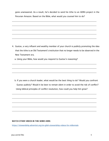gone unanswered. As a result, he's decided to send his tithe to an ADRA project in the Peruvian Amazon. Based on the Bible, what would you counsel him to do?

\_\_\_\_\_\_\_\_\_\_\_\_\_\_\_\_\_\_\_\_\_\_\_\_\_\_\_\_\_\_\_\_\_\_\_\_\_\_\_\_\_\_\_\_\_\_\_\_\_\_\_\_\_\_\_\_\_\_\_\_\_\_\_\_\_\_\_\_\_\_\_\_\_\_\_\_\_\_\_\_\_\_\_\_\_\_\_\_\_\_\_\_\_\_

\_\_\_\_\_\_\_\_\_\_\_\_\_\_\_\_\_\_\_\_\_\_\_\_\_\_\_\_\_\_\_\_\_\_\_\_\_\_\_\_\_\_\_\_\_\_\_\_\_\_\_\_\_\_\_\_\_\_\_\_\_\_\_\_\_\_\_\_\_\_\_\_\_\_\_\_\_\_\_\_\_\_\_\_\_\_\_\_\_\_\_\_\_\_

\_\_\_\_\_\_\_\_\_\_\_\_\_\_\_\_\_\_\_\_\_\_\_\_\_\_\_\_\_\_\_\_\_\_\_\_\_\_\_\_\_\_\_\_\_\_\_\_\_\_\_\_\_\_\_\_\_\_\_\_\_\_\_\_\_\_\_\_\_\_\_\_\_\_\_\_\_\_\_\_\_\_\_\_\_\_\_\_\_\_\_\_\_\_

\_\_\_\_\_\_\_\_\_\_\_\_\_\_\_\_\_\_\_\_\_\_\_\_\_\_\_\_\_\_\_\_\_\_\_\_\_\_\_\_\_\_\_\_\_\_\_\_\_\_\_\_\_\_\_\_\_\_\_\_\_\_\_\_\_\_\_\_\_\_\_\_\_\_\_\_\_\_\_\_\_\_\_\_\_\_\_\_\_\_\_\_\_\_

\_\_\_\_\_\_\_\_\_\_\_\_\_\_\_\_\_\_\_\_\_\_\_\_\_\_\_\_\_\_\_\_\_\_\_\_\_\_\_\_\_\_\_\_\_\_\_\_\_\_\_\_\_\_\_\_\_\_\_\_\_\_\_\_\_\_\_\_\_\_\_\_\_\_\_\_\_\_\_\_\_\_\_\_\_\_\_\_\_\_\_\_\_\_

4. Gustav, a very influent and wealthy member of your church is publicly promoting the idea that the tithe is an Old Testament's institution that no longer needs to be observed in the New Testament era.

\_\_\_\_\_\_\_\_\_\_\_\_\_\_\_\_\_\_\_\_\_\_\_\_\_\_\_\_\_\_\_\_\_\_\_\_\_\_\_\_\_\_\_\_\_\_\_\_\_\_\_\_\_\_\_\_\_\_\_\_\_\_\_\_\_\_\_\_\_\_\_\_\_\_\_\_\_\_\_\_\_\_\_\_\_\_\_\_\_\_\_\_\_\_

\_\_\_\_\_\_\_\_\_\_\_\_\_\_\_\_\_\_\_\_\_\_\_\_\_\_\_\_\_\_\_\_\_\_\_\_\_\_\_\_\_\_\_\_\_\_\_\_\_\_\_\_\_\_\_\_\_\_\_\_\_\_\_\_\_\_\_\_\_\_\_\_\_\_\_\_\_\_\_\_\_\_\_\_\_\_\_\_\_\_\_\_\_\_

\_\_\_\_\_\_\_\_\_\_\_\_\_\_\_\_\_\_\_\_\_\_\_\_\_\_\_\_\_\_\_\_\_\_\_\_\_\_\_\_\_\_\_\_\_\_\_\_\_\_\_\_\_\_\_\_\_\_\_\_\_\_\_\_\_\_\_\_\_\_\_\_\_\_\_\_\_\_\_\_\_\_\_\_\_\_\_\_\_\_\_\_\_\_

a. Using your Bible, how would you respond to Gustav's reasoning?

 b. If you were a church leader, what would be the best thing to do? Would you confront Gustav publicly? Would it be best to remain silent in order to avoid the risk of conflict? Using biblical principles of conflict resolution, how could you help him grow?

\_\_\_\_\_\_\_\_\_\_\_\_\_\_\_\_\_\_\_\_\_\_\_\_\_\_\_\_\_\_\_\_\_\_\_\_\_\_\_\_\_\_\_\_\_\_\_\_\_\_\_\_\_\_\_\_\_\_\_\_\_\_\_\_\_\_\_\_\_\_\_\_\_\_\_\_\_\_\_\_\_\_\_\_\_\_\_\_\_\_\_\_\_\_

\_\_\_\_\_\_\_\_\_\_\_\_\_\_\_\_\_\_\_\_\_\_\_\_\_\_\_\_\_\_\_\_\_\_\_\_\_\_\_\_\_\_\_\_\_\_\_\_\_\_\_\_\_\_\_\_\_\_\_\_\_\_\_\_\_\_\_\_\_\_\_\_\_\_\_\_\_\_\_\_\_\_\_\_\_\_\_\_\_\_\_\_\_\_

\_\_\_\_\_\_\_\_\_\_\_\_\_\_\_\_\_\_\_\_\_\_\_\_\_\_\_\_\_\_\_\_\_\_\_\_\_\_\_\_\_\_\_\_\_\_\_\_\_\_\_\_\_\_\_\_\_\_\_\_\_\_\_\_\_\_\_\_\_\_\_\_\_\_\_\_\_\_\_\_\_\_\_\_\_\_\_\_\_\_\_\_\_\_

\_\_\_\_\_\_\_\_\_\_\_\_\_\_\_\_\_\_\_\_\_\_\_\_\_\_\_\_\_\_\_\_\_\_\_\_\_\_\_\_\_\_\_\_\_\_\_\_\_\_\_\_\_\_\_\_\_\_\_\_\_\_\_\_\_\_\_\_\_\_\_\_\_\_\_\_\_\_\_\_\_\_\_\_\_\_\_\_\_\_\_\_\_\_

\_\_\_\_\_\_\_\_\_\_\_\_\_\_\_\_\_\_\_\_\_\_\_\_\_\_\_\_\_\_\_\_\_\_\_\_\_\_\_\_\_\_\_\_\_\_\_\_\_\_\_\_\_\_\_\_\_\_\_\_\_\_\_\_\_\_\_\_\_\_\_\_\_\_\_\_\_\_\_\_\_\_\_\_\_\_\_\_\_\_\_\_\_\_

#### **WATCH OTHER VIDEOS IN THIS SERIES HERE:**

https://stewardship.adventist.org/en-glish-stewardship-videos-for-millennials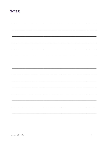### Notes: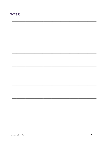## Notes: